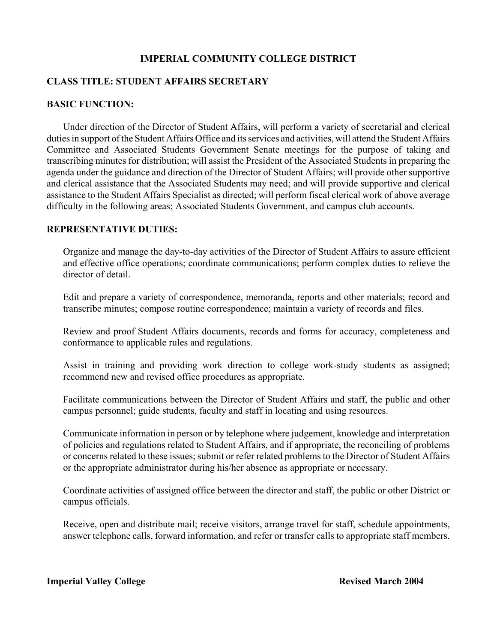### **IMPERIAL COMMUNITY COLLEGE DISTRICT**

### **CLASS TITLE: STUDENT AFFAIRS SECRETARY**

### **BASIC FUNCTION:**

Under direction of the Director of Student Affairs, will perform a variety of secretarial and clerical duties in support of the Student Affairs Office and its services and activities, will attend the Student Affairs Committee and Associated Students Government Senate meetings for the purpose of taking and transcribing minutes for distribution; will assist the President of the Associated Students in preparing the agenda under the guidance and direction of the Director of Student Affairs; will provide other supportive and clerical assistance that the Associated Students may need; and will provide supportive and clerical assistance to the Student Affairs Specialist as directed; will perform fiscal clerical work of above average difficulty in the following areas; Associated Students Government, and campus club accounts.

#### **REPRESENTATIVE DUTIES:**

Organize and manage the day-to-day activities of the Director of Student Affairs to assure efficient and effective office operations; coordinate communications; perform complex duties to relieve the director of detail.

Edit and prepare a variety of correspondence, memoranda, reports and other materials; record and transcribe minutes; compose routine correspondence; maintain a variety of records and files.

Review and proof Student Affairs documents, records and forms for accuracy, completeness and conformance to applicable rules and regulations.

Assist in training and providing work direction to college work-study students as assigned; recommend new and revised office procedures as appropriate.

Facilitate communications between the Director of Student Affairs and staff, the public and other campus personnel; guide students, faculty and staff in locating and using resources.

Communicate information in person or by telephone where judgement, knowledge and interpretation of policies and regulations related to Student Affairs, and if appropriate, the reconciling of problems or concerns related to these issues; submit or refer related problems to the Director of Student Affairs or the appropriate administrator during his/her absence as appropriate or necessary.

Coordinate activities of assigned office between the director and staff, the public or other District or campus officials.

Receive, open and distribute mail; receive visitors, arrange travel for staff, schedule appointments, answer telephone calls, forward information, and refer or transfer calls to appropriate staff members.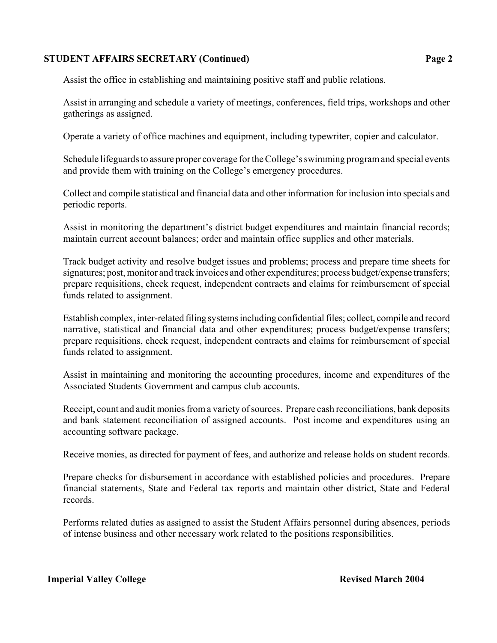### **STUDENT AFFAIRS SECRETARY (Continued) Page 2**

Assist the office in establishing and maintaining positive staff and public relations.

Assist in arranging and schedule a variety of meetings, conferences, field trips, workshops and other gatherings as assigned.

Operate a variety of office machines and equipment, including typewriter, copier and calculator.

Schedule lifeguards to assure proper coverage for the College's swimming program and special events and provide them with training on the College's emergency procedures.

Collect and compile statistical and financial data and other information for inclusion into specials and periodic reports.

Assist in monitoring the department's district budget expenditures and maintain financial records; maintain current account balances; order and maintain office supplies and other materials.

Track budget activity and resolve budget issues and problems; process and prepare time sheets for signatures; post, monitor and track invoices and other expenditures; process budget/expense transfers; prepare requisitions, check request, independent contracts and claims for reimbursement of special funds related to assignment.

Establish complex, inter-related filing systems including confidential files; collect, compile and record narrative, statistical and financial data and other expenditures; process budget/expense transfers; prepare requisitions, check request, independent contracts and claims for reimbursement of special funds related to assignment.

Assist in maintaining and monitoring the accounting procedures, income and expenditures of the Associated Students Government and campus club accounts.

Receipt, count and audit monies from a variety of sources. Prepare cash reconciliations, bank deposits and bank statement reconciliation of assigned accounts. Post income and expenditures using an accounting software package.

Receive monies, as directed for payment of fees, and authorize and release holds on student records.

Prepare checks for disbursement in accordance with established policies and procedures. Prepare financial statements, State and Federal tax reports and maintain other district, State and Federal records.

Performs related duties as assigned to assist the Student Affairs personnel during absences, periods of intense business and other necessary work related to the positions responsibilities.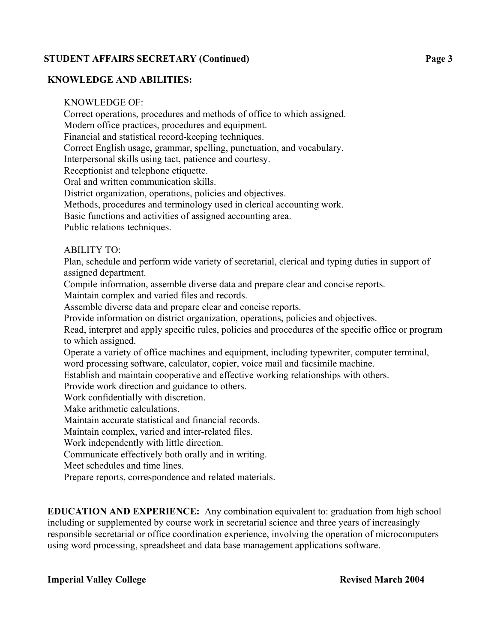## **STUDENT AFFAIRS SECRETARY (Continued) Page 3**

### **KNOWLEDGE AND ABILITIES:**

KNOWLEDGE OF:

Correct operations, procedures and methods of office to which assigned.

Modern office practices, procedures and equipment.

Financial and statistical record-keeping techniques.

Correct English usage, grammar, spelling, punctuation, and vocabulary.

Interpersonal skills using tact, patience and courtesy.

Receptionist and telephone etiquette.

Oral and written communication skills.

District organization, operations, policies and objectives.

Methods, procedures and terminology used in clerical accounting work.

Basic functions and activities of assigned accounting area.

Public relations techniques.

### ABILITY TO:

Plan, schedule and perform wide variety of secretarial, clerical and typing duties in support of assigned department.

Compile information, assemble diverse data and prepare clear and concise reports.

Maintain complex and varied files and records.

Assemble diverse data and prepare clear and concise reports.

Provide information on district organization, operations, policies and objectives.

Read, interpret and apply specific rules, policies and procedures of the specific office or program to which assigned.

Operate a variety of office machines and equipment, including typewriter, computer terminal, word processing software, calculator, copier, voice mail and facsimile machine.

Establish and maintain cooperative and effective working relationships with others.

Provide work direction and guidance to others.

Work confidentially with discretion.

Make arithmetic calculations.

Maintain accurate statistical and financial records.

Maintain complex, varied and inter-related files.

Work independently with little direction.

Communicate effectively both orally and in writing.

Meet schedules and time lines.

Prepare reports, correspondence and related materials.

**EDUCATION AND EXPERIENCE:** Any combination equivalent to: graduation from high school including or supplemented by course work in secretarial science and three years of increasingly responsible secretarial or office coordination experience, involving the operation of microcomputers using word processing, spreadsheet and data base management applications software.